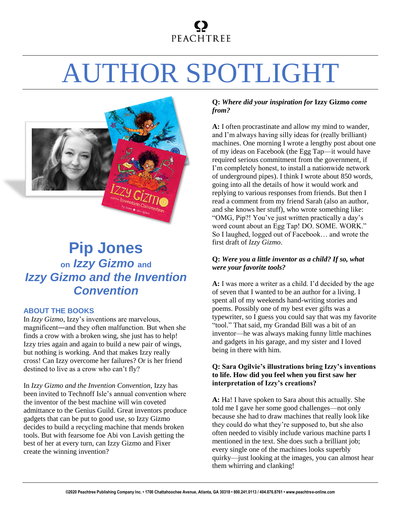## **PEACHTREE**

# AUTHOR SPOTLIGHT



### **Pip Jones on** *Izzy Gizmo* **and** *Izzy Gizmo and the Invention Convention*

#### **ABOUT THE BOOKS**

In *Izzy Gizmo*, Izzy's inventions are marvelous, magnificent―and they often malfunction. But when she finds a crow with a broken wing, she just has to help! Izzy tries again and again to build a new pair of wings, but nothing is working. And that makes Izzy really cross! Can Izzy overcome her failures? Or is her friend destined to live as a crow who can't fly?

In *Izzy Gizmo and the Invention Convention*, Izzy has been invited to Technoff Isle's annual convention where the inventor of the best machine will win coveted admittance to the Genius Guild. Great inventors produce gadgets that can be put to good use, so Izzy Gizmo decides to build a recycling machine that mends broken tools. But with fearsome foe Abi von Lavish getting the best of her at every turn, can Izzy Gizmo and Fixer create the winning invention?

#### **Q:** *Where did your inspiration for* **Izzy Gizmo** *come from?*

**A:** I often procrastinate and allow my mind to wander, and I'm always having silly ideas for (really brilliant) machines. One morning I wrote a lengthy post about one of my ideas on Facebook (the Egg Tap—it would have required serious commitment from the government, if I'm completely honest, to install a nationwide network of underground pipes). I think I wrote about 850 words, going into all the details of how it would work and replying to various responses from friends. But then I read a comment from my friend Sarah (also an author, and she knows her stuff), who wrote something like: "OMG, Pip?! You've just written practically a day's word count about an Egg Tap! DO. SOME. WORK." So I laughed, logged out of Facebook… and wrote the first draft of *Izzy Gizmo*.

#### **Q:** *Were you a little inventor as a child? If so, what were your favorite tools?*

**A:** I was more a writer as a child. I'd decided by the age of seven that I wanted to be an author for a living. I spent all of my weekends hand-writing stories and poems. Possibly one of my best ever gifts was a typewriter, so I guess you could say that was my favorite "tool." That said, my Grandad Bill was a bit of an inventor—he was always making funny little machines and gadgets in his garage, and my sister and I loved being in there with him.

#### **Q: Sara Ogilvie's illustrations bring Izzy's inventions to life. How did you feel when you first saw her interpretation of Izzy's creations?**

**A:** Ha! I have spoken to Sara about this actually. She told me I gave her some good challenges—not only because she had to draw machines that really look like they could do what they're supposed to, but she also often needed to visibly include various machine parts I mentioned in the text. She does such a brilliant job; every single one of the machines looks superbly quirky—just looking at the images, you can almost hear them whirring and clanking!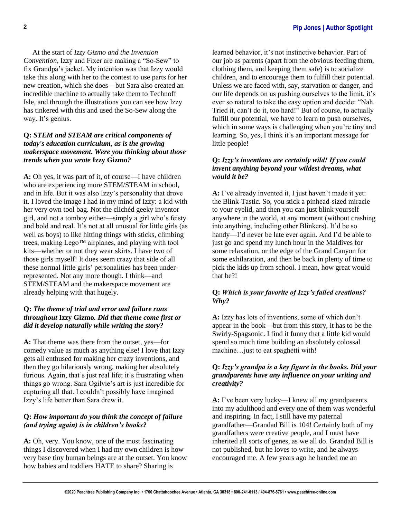At the start of *Izzy Gizmo and the Invention Convention*, Izzy and Fixer are making a "So-Sew" to fix Grandpa's jacket. My intention was that Izzy would take this along with her to the contest to use parts for her new creation, which she does—but Sara also created an incredible machine to actually take them to Technoff Isle, and through the illustrations you can see how Izzy has tinkered with this and used the So-Sew along the way. It's genius.

#### **Q:** *STEM and STEAM are critical components of today's education curriculum, as is the growing makerspace movement. Were you thinking about those trends when you wrote* **Izzy Gizmo***?*

**A:** Oh yes, it was part of it, of course—I have children who are experiencing more STEM/STEAM in school, and in life. But it was also Izzy's personality that drove it. I loved the image I had in my mind of Izzy: a kid with her very own tool bag. Not the clichéd geeky inventor girl, and not a tomboy either—simply a girl who's feisty and bold and real. It's not at all unusual for little girls (as well as boys) to like hitting things with sticks, climbing trees, making Lego™ airplanes, and playing with tool kits—whether or not they wear skirts. I have two of those girls myself! It does seem crazy that side of all these normal little girls' personalities has been underrepresented. Not any more though. I think—and STEM/STEAM and the makerspace movement are already helping with that hugely.

#### **Q:** *The theme of trial and error and failure runs throughout* **Izzy Gizmo***. Did that theme come first or did it develop naturally while writing the story?*

**A:** That theme was there from the outset, yes—for comedy value as much as anything else! I love that Izzy gets all enthused for making her crazy inventions, and then they go hilariously wrong, making her absolutely furious. Again, that's just real life; it's frustrating when things go wrong. Sara Ogilvie's art is just incredible for capturing all that. I couldn't possibly have imagined Izzy's life better than Sara drew it.

#### **Q:** *How important do you think the concept of failure (and trying again) is in children's books?*

**A:** Oh, very. You know, one of the most fascinating things I discovered when I had my own children is how very base tiny human beings are at the outset. You know how babies and toddlers HATE to share? Sharing is

learned behavior, it's not instinctive behavior. Part of our job as parents (apart from the obvious feeding them, clothing them, and keeping them safe) is to socialize children, and to encourage them to fulfill their potential. Unless we are faced with, say, starvation or danger, and our life depends on us pushing ourselves to the limit, it's ever so natural to take the easy option and decide: "Nah. Tried it, can't do it, too hard!" But of course, to actually fulfill our potential, we have to learn to push ourselves, which in some ways is challenging when you're tiny and learning. So, yes, I think it's an important message for little people!

#### **Q:** *Izzy's inventions are certainly wild! If you could invent anything beyond your wildest dreams, what would it be?*

**A:** I've already invented it, I just haven't made it yet: the Blink-Tastic. So, you stick a pinhead-sized miracle to your eyelid, and then you can just blink yourself anywhere in the world, at any moment (without crashing into anything, including other Blinkers). It'd be so handy—I'd never be late ever again. And I'd be able to just go and spend my lunch hour in the Maldives for some relaxation, or the edge of the Grand Canyon for some exhilaration, and then be back in plenty of time to pick the kids up from school. I mean, how great would that be?!

#### **Q:** *Which is your favorite of Izzy's failed creations? Why?*

**A:** Izzy has lots of inventions, some of which don't appear in the book—but from this story, it has to be the Swirly-Spagsonic. I find it funny that a little kid would spend so much time building an absolutely colossal machine…just to eat spaghetti with!

#### **Q:** *Izzy's grandpa is a key figure in the books. Did your grandparents have any influence on your writing and creativity?*

**A:** I've been very lucky—I knew all my grandparents into my adulthood and every one of them was wonderful and inspiring. In fact, I still have my paternal grandfather—Grandad Bill is 104! Certainly both of my grandfathers were creative people, and I must have inherited all sorts of genes, as we all do. Grandad Bill is not published, but he loves to write, and he always encouraged me. A few years ago he handed me an